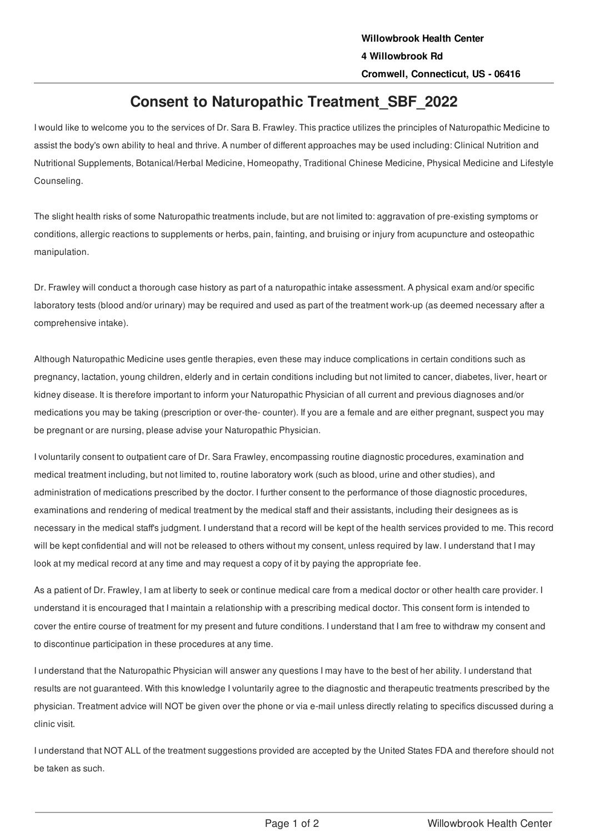## **Consent to Naturopathic Treatment\_SBF\_2022**

I would like to welcome you to the services of Dr. Sara B. Frawley. This practice utilizes the principles of Naturopathic Medicine to assist the body's own ability to heal and thrive. A number of different approaches may be used including: Clinical Nutrition and Nutritional Supplements, Botanical/Herbal Medicine, Homeopathy, Traditional Chinese Medicine, Physical Medicine and Lifestyle Counseling.

The slight health risks of some Naturopathic treatments include, but are not limited to: aggravation of pre-existing symptoms or conditions, allergic reactions to supplements or herbs, pain, fainting, and bruising or injury from acupuncture and osteopathic manipulation.

Dr. Frawley will conduct a thorough case history as part of a naturopathic intake assessment. A physical exam and/or specific laboratory tests (blood and/or urinary) may be required and used as part of the treatment work-up (as deemed necessary after a comprehensive intake).

Although Naturopathic Medicine uses gentle therapies, even these may induce complications in certain conditions such as pregnancy, lactation, young children, elderly and in certain conditions including but not limited to cancer, diabetes, liver, heart or kidney disease. It is therefore important to inform your Naturopathic Physician of all current and previous diagnoses and/or medications you may be taking (prescription or over-the- counter). If you are a female and are either pregnant, suspect you may be pregnant or are nursing, please advise your Naturopathic Physician.

I voluntarily consent to outpatient care of Dr. Sara Frawley, encompassing routine diagnostic procedures, examination and medical treatment including, but not limited to, routine laboratory work (such as blood, urine and other studies), and administration of medications prescribed by the doctor. I further consent to the performance of those diagnostic procedures, examinations and rendering of medical treatment by the medical staff and their assistants, including their designees as is necessary in the medical staff's judgment. I understand that a record will be kept of the health services provided to me. This record will be kept confidential and will not be released to others without my consent, unless required by law. I understand that I may look at my medical record at any time and may request a copy of it by paying the appropriate fee.

As a patient of Dr. Frawley, I am at liberty to seek or continue medical care from a medical doctor or other health care provider. I understand it is encouraged that I maintain a relationship with a prescribing medical doctor. This consent form is intended to cover the entire course of treatment for my present and future conditions. I understand that I am free to withdraw my consent and to discontinue participation in these procedures at any time.

I understand that the Naturopathic Physician will answer any questions I may have to the best of her ability. I understand that results are not guaranteed. With this knowledge I voluntarily agree to the diagnostic and therapeutic treatments prescribed by the physician. Treatment advice will NOT be given over the phone or via e-mail unless directly relating to specifics discussed during a clinic visit.

I understand that NOT ALL of the treatment suggestions provided are accepted by the United States FDA and therefore should not be taken as such.